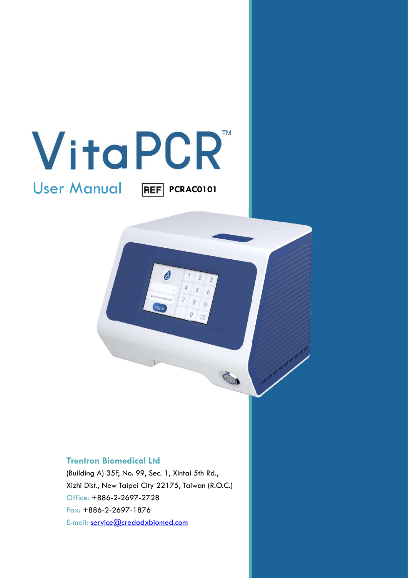

User Manual

**REF** PCRAC0101

 $\overline{6}$  $\overline{Q}$ 

0

#### Trentron Biomedical Ltd

(Building A) 35F, No. 99, Sec. 1, Xintai 5th Rd., Xizhi Dist., New Taipei City 22175, Taiwan (R.O.C.) Office: +886-2-2697-2728 Fax: +886-2-2697-1876 E-mail: service@credodxbiomed.com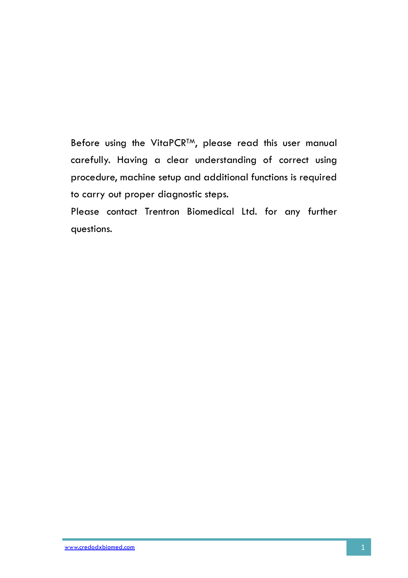Before using the VitaPCR<sup>TM</sup>, please read this user manual carefully. Having a clear understanding of correct using procedure, machine setup and additional functions is required to carry out proper diagnostic steps.

Please contact Trentron Biomedical Ltd. for any further questions.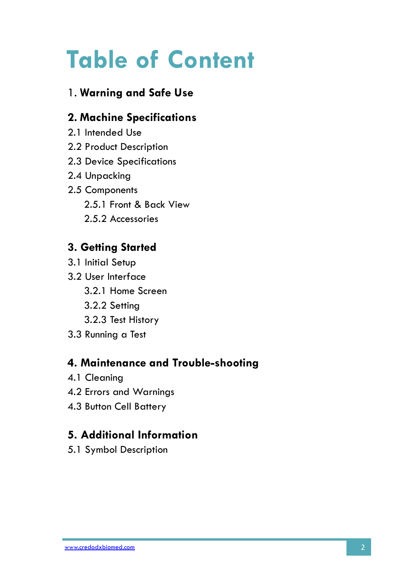# Table of Content

# 1. Warning and Safe Use

# 2. Machine Specifications

- 2.1 Intended Use
- 2.2 Product Description
- 2.3 Device Specifications
- 2.4 Unpacking
- 2.5 Components 2.5.1 Front & Back View 2.5.2 Accessories

# 3. Getting Started

- 3.1 Initial Setup
- 3.2 User Interface
	- 3.2.1 Home Screen
	- 3.2.2 Setting
	- 3.2.3 Test History
- 3.3 Running a Test

# 4. Maintenance and Trouble-shooting

- 4.1 Cleaning
- 4.2 Errors and Warnings
- 4.3 Button Cell Battery

# 5. Additional Information

5.1 Symbol Description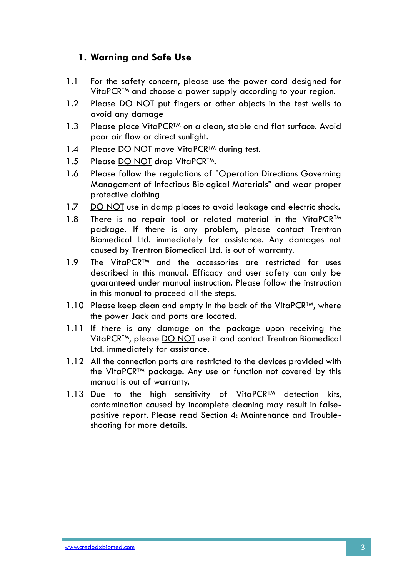# 1. Warning and Safe Use

- 1.1 For the safety concern, please use the power cord designed for VitaPCR<sup>™</sup> and choose a power supply according to your region.
- 1.2 Please DO NOT put fingers or other objects in the test wells to avoid any damage
- 1.3 Please place VitaPCR<sup>TM</sup> on a clean, stable and flat surface. Avoid poor air flow or direct sunlight.
- 1.4 Please DO NOT move VitaPCR<sup>TM</sup> during test.
- 
- 1.5 Please <u>DO NOT</u> drop VitaPCR<sup>TM</sup>.<br>1.6 Please follow the regulations of "Operation Directions Governing Management of Infectious Biological Materials" and wear proper protective clothing
- 1.7 DO NOT use in damp places to avoid leakage and electric shock.
- 1.8 There is no repair tool or related material in the VitaPCR<sup>TM</sup> package. If there is any problem, please contact Trentron Biomedical Ltd. immediately for assistance. Any damages not caused by Trentron Biomedical Ltd. is out of warranty.
- 1.9 The VitaPCR<sup>TM</sup> and the accessories are restricted for uses described in this manual. Efficacy and user safety can only be guaranteed under manual instruction. Please follow the instruction in this manual to proceed all the steps.
- 1.10 Please keep clean and empty in the back of the VitaPCR<sup>TM</sup>, where the power Jack and ports are located.
- 1.11 If there is any damage on the package upon receiving the VitaPCR™, please DO NOT use it and contact Trentron Biomedical Ltd. immediately for assistance.
- 1.12 All the connection ports are restricted to the devices provided with the VitaPCRTM package. Any use or function not covered by this manual is out of warranty.
- 1.13 Due to the high sensitivity of VitaPCR<sup>TM</sup> detection kits, contamination caused by incomplete cleaning may result in falsepositive report. Please read Section 4: Maintenance and Troubleshooting for more details.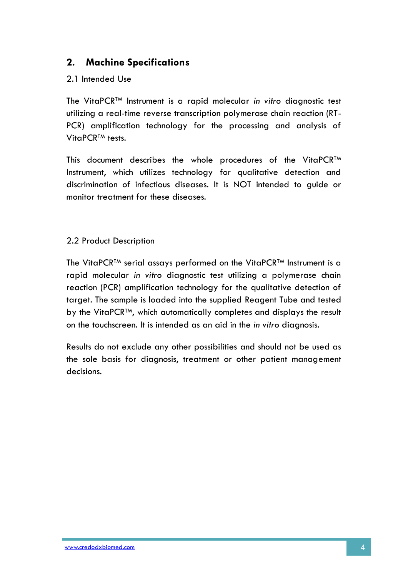# 2. Machine Specifications

### 2.1 Intended Use

The VitaPCRTM Instrument is a rapid molecular in vitro diagnostic test utilizing a real-time reverse transcription polymerase chain reaction (RT-PCR) amplification technology for the processing and analysis of VitaPCR<sup>™</sup> tests.

This document describes the whole procedures of the VitaPCR<sup>TM</sup> Instrument, which utilizes technology for qualitative detection and discrimination of infectious diseases. It is NOT intended to guide or monitor treatment for these diseases.

#### 2.2 Product Description

The VitaPCRTM serial assays performed on the VitaPCRTM Instrument is a rapid molecular in vitro diagnostic test utilizing a polymerase chain reaction (PCR) amplification technology for the qualitative detection of target. The sample is loaded into the supplied Reagent Tube and tested by the VitaPCR<sup>TM</sup>, which automatically completes and displays the result on the touchscreen. It is intended as an aid in the in vitro diagnosis.

Results do not exclude any other possibilities and should not be used as the sole basis for diagnosis, treatment or other patient management decisions.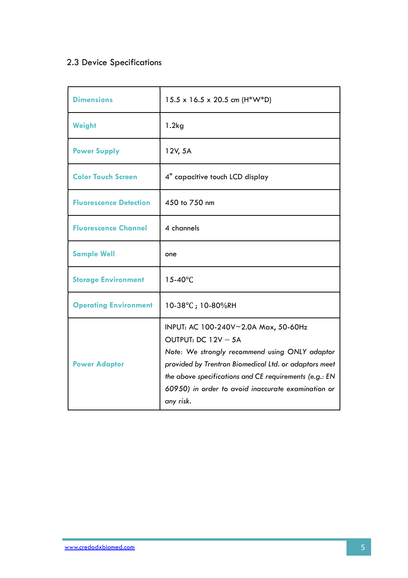# 2.3 Device Specifications

| <b>Dimensions</b>             | $15.5 \times 16.5 \times 20.5$ cm (H*W*D)                                                                                                                                                                                                                                                           |
|-------------------------------|-----------------------------------------------------------------------------------------------------------------------------------------------------------------------------------------------------------------------------------------------------------------------------------------------------|
| <b>Weight</b>                 | 1.2kg                                                                                                                                                                                                                                                                                               |
| <b>Power Supply</b>           | 12V, 5A                                                                                                                                                                                                                                                                                             |
| <b>Color Touch Screen</b>     | 4" capacitive touch LCD display                                                                                                                                                                                                                                                                     |
| <b>Fluorescence Detection</b> | 450 to 750 nm                                                                                                                                                                                                                                                                                       |
| <b>Fluorescence Channel</b>   | 4 channels                                                                                                                                                                                                                                                                                          |
| <b>Sample Well</b>            | one                                                                                                                                                                                                                                                                                                 |
| <b>Storage Environment</b>    | $15-40^{\circ}$ C                                                                                                                                                                                                                                                                                   |
| <b>Operating Environment</b>  | 10-38°C; 10-80%RH                                                                                                                                                                                                                                                                                   |
| <b>Power Adaptor</b>          | INPUT: AC 100-240V~2.0A Max, 50-60Hz<br>OUTPUT: DC 12V - 5A<br>Note: We strongly recommend using ONLY adaptor<br>provided by Trentron Biomedical Ltd. or adaptors meet<br>the above specifications and CE requirements (e.g.: EN<br>60950) in order to avoid inaccurate examination or<br>any risk. |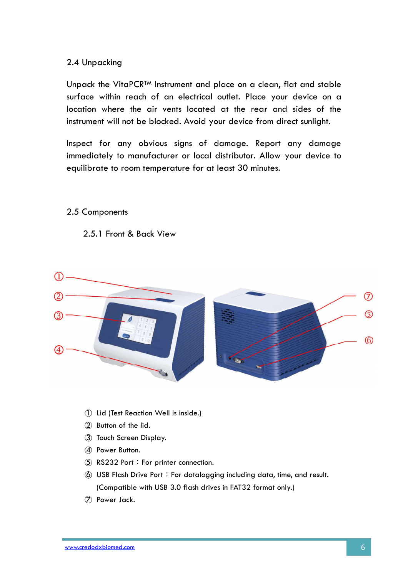#### 2.4 Unpacking

Unpack the VitaPCR<sup>TM</sup> Instrument and place on a clean, flat and stable surface within reach of an electrical outlet. Place your device on a location where the air vents located at the rear and sides of the instrument will not be blocked. Avoid your device from direct sunlight.

Inspect for any obvious signs of damage. Report any damage immediately to manufacturer or local distributor. Allow your device to equilibrate to room temperature for at least 30 minutes.

#### 2.5 Components

2.5.1 Front & Back View



- 
- 
- 
- 
- 
- (Compatible with USB 3.0 flash drives in FAT32 format only.)
-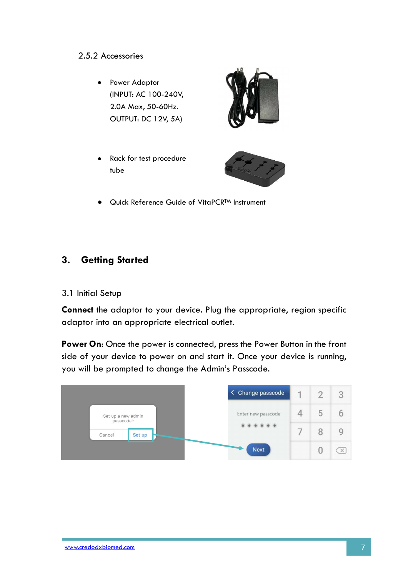**•** Power Adaptor (INPUT: AC 100-240V, 2.0A Max, 50-60Hz. OUTPUT: DC 12V, 5A)



Rack for test procedure tube



Quick Reference Guide of VitaPCRTM Instrument

# 3. Getting Started

3.1 Initial Setup

Connect the adaptor to your device. Plug the appropriate, region specific adaptor into an appropriate electrical outlet.

Power On: Once the power is connected, press the Power Button in the front side of your device to power on and start it. Once your device is running, you will be prompted to change the Admin's Passcode.

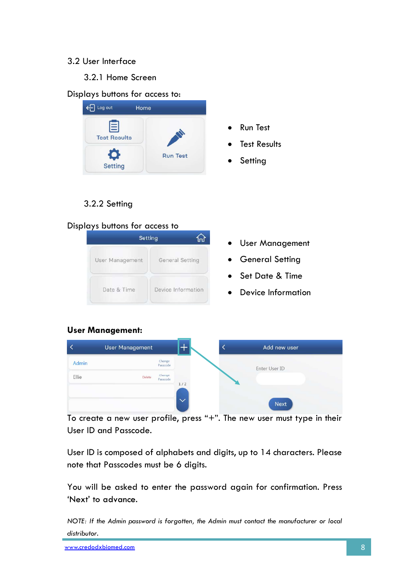#### 3.2 User Interface

3.2.1 Home Screen

#### Displays buttons for access to:



- Run Test
- Test Results
- Setting

# 3.2.2 Setting

#### Displays buttons for access to



- User Management
- General Setting
- Set Date & Time
- Device Information

#### User Management:



To create a new user profile, press " $+$ ". The new user must type in their User ID and Passcode.

User ID is composed of alphabets and digits, up to 14 characters. Please note that Passcodes must be 6 digits.

You will be asked to enter the password again for confirmation. Press 'Next' to advance.

NOTE: If the Admin password is forgotten, the Admin must contact the manufacturer or local distributor.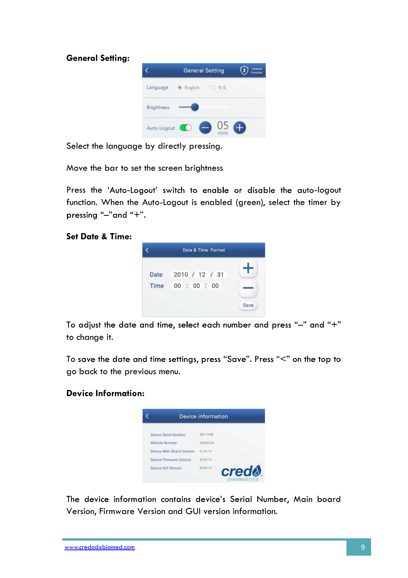

Select the language by directly pressing.

Move the bar to set the screen brightness

Press the 'Auto-Logout' switch to enable or disable the auto-logout function. When the Auto-Logout is enabled (green), select the timer by pressing "-"and "+".

#### Set Date & Time:



To adjust the date and time, select each number and press "-" and "+" to change it.

To save the date and time settings, press "Save". Press "<" on the top to go back to the previous menu.

#### Device Information:



The device information contains device's Serial Number, Main board Version, Firmware Version and GUI version information.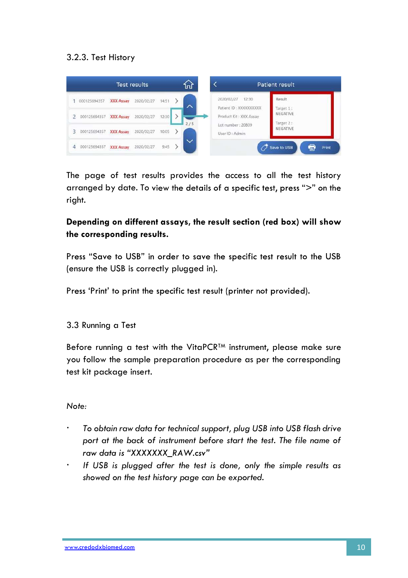### 3.2.3. Test History

|                |              |                  | <b>Test results</b> |       | տ   |
|----------------|--------------|------------------|---------------------|-------|-----|
|                | 000125694357 | <b>XXX Assay</b> | 2020/02/27          | 14:51 | ᄉ   |
| $\overline{2}$ | 000125694357 | <b>XXX Assay</b> | 2020/02/27          | 12:30 |     |
| 3              | 000125694357 | <b>XXX Assay</b> | 2020/02/27          | 10:05 | 2/5 |
|                | 000125694357 | <b>XXX Assay</b> | 2020/02/27          | 9:45  |     |

The page of test results provides the access to all the test history arranged by date. To view the details of a specific test, press ">" on the right.

# Depending on different assays, the result section (red box) will show the corresponding results.

Press "Save to USB" in order to save the specific test result to the USB (ensure the USB is correctly plugged in).

Press 'Print' to print the specific test result (printer not provided).

3.3 Running a Test

Before running a test with the VitaPCR<sup>TM</sup> instrument, please make sure you follow the sample preparation procedure as per the corresponding test kit package insert.

Note:

- $\ddot{\phantom{0}}$ To obtain raw data for technical support, plug USB into USB flash drive port at the back of instrument before start the test. The file name of raw data is "XXXXXXX RAW.csv"
- $\bullet$  . If USB is plugged after the test is done, only the simple results as showed on the test history page can be exported.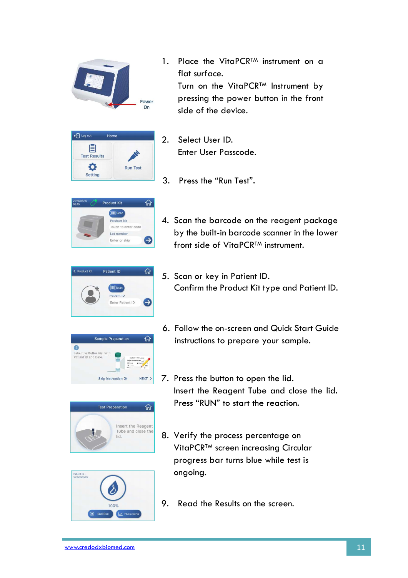

1. Place the VitaPCR<sup>TM</sup> instrument on a flat surface. Turn on the VitaPCR™ Instrument by pressing the power button in the front side of the device.



- 2. Select User ID. Enter User Passcode.
- 3. Press the "Run Test".



4. Scan the barcode on the reagent package by the built-in barcode scanner in the lower front side of VitaPCR<sup>TM</sup> instrument.



5. Scan or key in Patient ID. Confirm the Product Kit type and Patient ID.



**Test Preparation** 

lid

슈

Insert the Reagent Tube and close the

- 6. Follow the on-screen and Quick Start Guide instructions to prepare your sample.
- 7. Press the button to open the lid. Insert the Reagent Tube and close the lid. Press "RUN" to start the reaction.
- 8. Verify the process percentage on VitaPCRTM screen increasing Circular progress bar turns blue while test is ongoing.



9. Read the Results on the screen.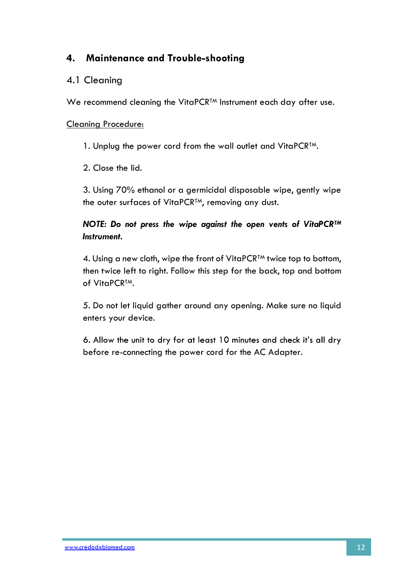# 4. Maintenance and Trouble-shooting

### 4.1 Cleaning

We recommend cleaning the VitaPCR<sup>TM</sup> Instrument each day after use.

### Cleaning Procedure:

1. Unplug the power cord from the wall outlet and VitaPCR<sup>TM</sup>.<br>2. Close the lid.

3. Using 70% ethanol or a germicidal disposable wipe, gently wipe the outer surfaces of VitaPCR<sup>TM</sup>, removing any dust.

NOTE: Do not press the wipe against the open vents of VitaPCRTM Instrument.

4. Using a new cloth, wipe the front of VitaPCR<sup>TM</sup> twice top to bottom, then twice left to right. Follow this step for the back, top and bottom of VitaPCR™.<br>5. Do not let liquid gather around any opening. Make sure no liquid

enters your device.

6. Allow the unit to dry for at least 10 minutes and check it's all dry before re-connecting the power cord for the AC Adapter.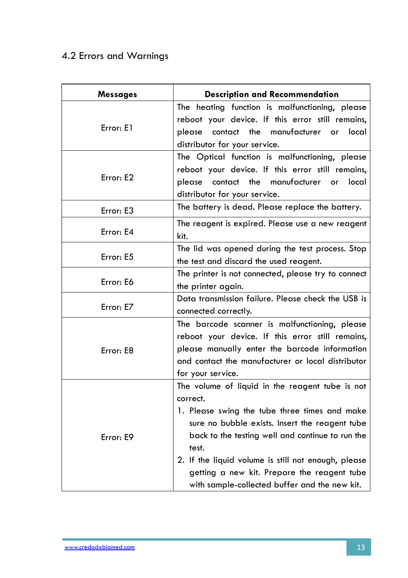# 4.2 Errors and Warnings

| <b>Messages</b> | <b>Description and Recommendation</b>               |  |  |  |  |  |
|-----------------|-----------------------------------------------------|--|--|--|--|--|
|                 | The heating function is malfunctioning, please      |  |  |  |  |  |
|                 | reboot your device. If this error still remains,    |  |  |  |  |  |
| Error: E1       | please contact the manufacturer or local            |  |  |  |  |  |
|                 | distributor for your service.                       |  |  |  |  |  |
|                 | The Optical function is malfunctioning, please      |  |  |  |  |  |
|                 | reboot your device. If this error still remains,    |  |  |  |  |  |
| Error: E2       | please contact the manufacturer or local            |  |  |  |  |  |
|                 | distributor for your service.                       |  |  |  |  |  |
| Error: E3       | The battery is dead. Please replace the battery.    |  |  |  |  |  |
|                 | The reagent is expired. Please use a new reagent    |  |  |  |  |  |
| Error: E4       | kit.                                                |  |  |  |  |  |
|                 | The lid was opened during the test process. Stop    |  |  |  |  |  |
| Error: E5       | the test and discard the used reagent.              |  |  |  |  |  |
|                 | The printer is not connected, please try to connect |  |  |  |  |  |
| Error: E6       | the printer again.                                  |  |  |  |  |  |
|                 | Data transmission failure. Please check the USB is  |  |  |  |  |  |
| Error: E7       | connected correctly.                                |  |  |  |  |  |
|                 | The barcode scanner is malfunctioning, please       |  |  |  |  |  |
|                 | reboot your device. If this error still remains,    |  |  |  |  |  |
| Error: E8       | please manually enter the barcode information       |  |  |  |  |  |
|                 | and contact the manufacturer or local distributor   |  |  |  |  |  |
|                 | for your service.                                   |  |  |  |  |  |
|                 | The volume of liquid in the reagent tube is not     |  |  |  |  |  |
|                 | correct.                                            |  |  |  |  |  |
|                 | 1. Please swing the tube three times and make       |  |  |  |  |  |
|                 | sure no bubble exists. Insert the reagent tube      |  |  |  |  |  |
| Error: E9       | back to the testing well and continue to run the    |  |  |  |  |  |
|                 | test.                                               |  |  |  |  |  |
|                 | 2. If the liquid volume is still not enough, please |  |  |  |  |  |
|                 | getting a new kit. Prepare the reagent tube         |  |  |  |  |  |
|                 | with sample-collected buffer and the new kit.       |  |  |  |  |  |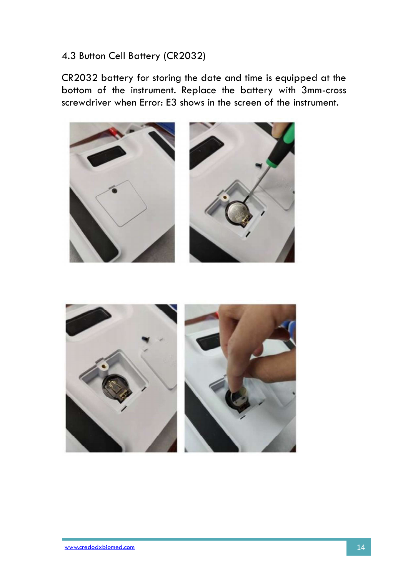# 4.3 Button Cell Battery (CR2032)

CR2032 battery for storing the date and time is equipped at the bottom of the instrument. Replace the battery with 3mm-cross screwdriver when Error: E3 shows in the screen of the instrument.